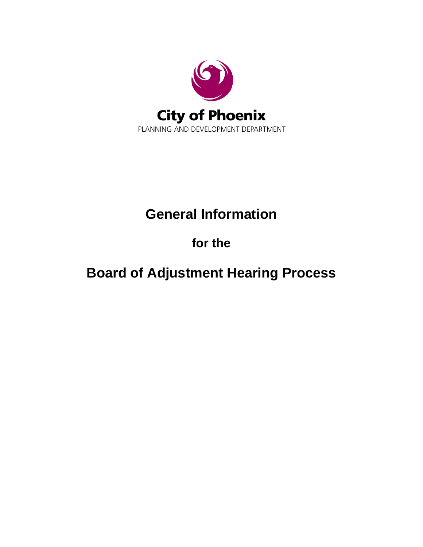

## **General Information**

## **for the**

# **Board of Adjustment Hearing Process**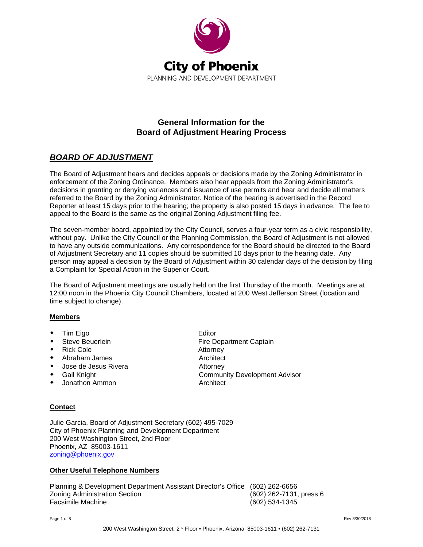

### **General Information for the Board of Adjustment Hearing Process**

## *BOARD OF ADJUSTMENT*

The Board of Adjustment hears and decides appeals or decisions made by the Zoning Administrator in enforcement of the Zoning Ordinance. Members also hear appeals from the Zoning Administrator's decisions in granting or denying variances and issuance of use permits and hear and decide all matters referred to the Board by the Zoning Administrator. Notice of the hearing is advertised in the Record Reporter at least 15 days prior to the hearing; the property is also posted 15 days in advance. The fee to appeal to the Board is the same as the original Zoning Adjustment filing fee.

The seven-member board, appointed by the City Council, serves a four-year term as a civic responsibility, without pay. Unlike the City Council or the Planning Commission, the Board of Adjustment is not allowed to have any outside communications. Any correspondence for the Board should be directed to the Board of Adjustment Secretary and 11 copies should be submitted 10 days prior to the hearing date. Any person may appeal a decision by the Board of Adjustment within 30 calendar days of the decision by filing a Complaint for Special Action in the Superior Court.

The Board of Adjustment meetings are usually held on the first Thursday of the month. Meetings are at 12:00 noon in the Phoenix City Council Chambers, located at 200 West Jefferson Street (location and time subject to change).

Fire Department Captain

#### **Members**

- 
- ◆ Tim Eigo Editor<br>◆ Steve Beuerlein Fire D
- Rick Cole **Attorney**
- Abraham James **Architect** Architect
- ◆ Jose de Jesus Rivera 
→ Attorney
- Gail Knight Community Development Advisor
- Jonathon Ammon **Architect** Architect

#### **Contact**

Julie Garcia, Board of Adjustment Secretary (602) 495-7029 City of Phoenix Planning and Development Department 200 West Washington Street, 2nd Floor Phoenix, AZ 85003-1611 [zoning@phoenix.gov](mailto:mailbox.zoning@phoenix.gov)

#### **Other Useful Telephone Numbers**

Planning & Development Department Assistant Director's Office (602) 262-6656 Zoning Administration Section (602) 262-7131, press 6 Facsimile Machine (602) 534-1345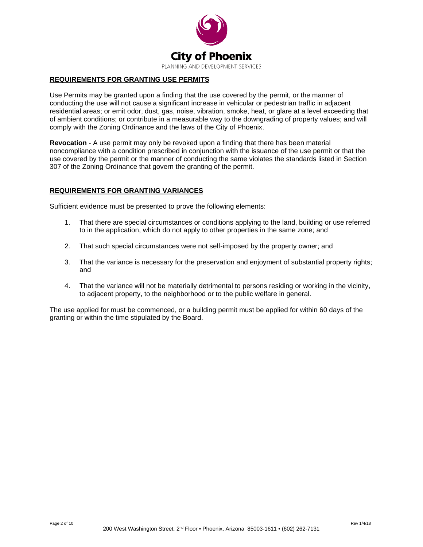

#### **REQUIREMENTS FOR GRANTING USE PERMITS**

Use Permits may be granted upon a finding that the use covered by the permit, or the manner of conducting the use will not cause a significant increase in vehicular or pedestrian traffic in adjacent residential areas; or emit odor, dust, gas, noise, vibration, smoke, heat, or glare at a level exceeding that of ambient conditions; or contribute in a measurable way to the downgrading of property values; and will comply with the Zoning Ordinance and the laws of the City of Phoenix.

**Revocation** - A use permit may only be revoked upon a finding that there has been material noncompliance with a condition prescribed in conjunction with the issuance of the use permit or that the use covered by the permit or the manner of conducting the same violates the standards listed in Section 307 of the Zoning Ordinance that govern the granting of the permit.

#### **REQUIREMENTS FOR GRANTING VARIANCES**

Sufficient evidence must be presented to prove the following elements:

- 1. That there are special circumstances or conditions applying to the land, building or use referred to in the application, which do not apply to other properties in the same zone; and
- 2. That such special circumstances were not self-imposed by the property owner; and
- 3. That the variance is necessary for the preservation and enjoyment of substantial property rights; and
- 4. That the variance will not be materially detrimental to persons residing or working in the vicinity, to adjacent property, to the neighborhood or to the public welfare in general.

The use applied for must be commenced, or a building permit must be applied for within 60 days of the granting or within the time stipulated by the Board.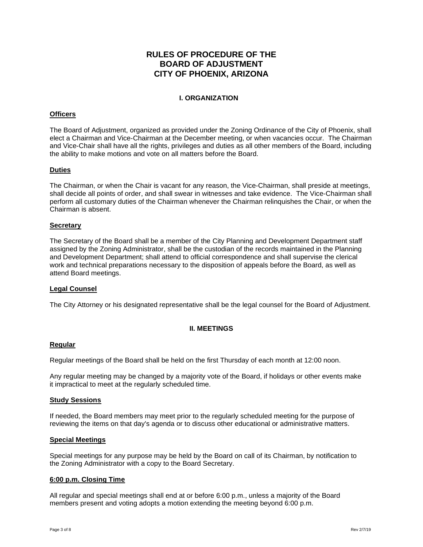### **RULES OF PROCEDURE OF THE BOARD OF ADJUSTMENT CITY OF PHOENIX, ARIZONA**

#### **I. ORGANIZATION**

#### **Officers**

The Board of Adjustment, organized as provided under the Zoning Ordinance of the City of Phoenix, shall elect a Chairman and Vice-Chairman at the December meeting, or when vacancies occur. The Chairman and Vice-Chair shall have all the rights, privileges and duties as all other members of the Board, including the ability to make motions and vote on all matters before the Board.

#### **Duties**

The Chairman, or when the Chair is vacant for any reason, the Vice-Chairman, shall preside at meetings, shall decide all points of order, and shall swear in witnesses and take evidence. The Vice-Chairman shall perform all customary duties of the Chairman whenever the Chairman relinquishes the Chair, or when the Chairman is absent.

#### **Secretary**

The Secretary of the Board shall be a member of the City Planning and Development Department staff assigned by the Zoning Administrator, shall be the custodian of the records maintained in the Planning and Development Department; shall attend to official correspondence and shall supervise the clerical work and technical preparations necessary to the disposition of appeals before the Board, as well as attend Board meetings.

#### **Legal Counsel**

The City Attorney or his designated representative shall be the legal counsel for the Board of Adjustment.

#### **II. MEETINGS**

#### **Regular**

Regular meetings of the Board shall be held on the first Thursday of each month at 12:00 noon.

Any regular meeting may be changed by a majority vote of the Board, if holidays or other events make it impractical to meet at the regularly scheduled time.

#### **Study Sessions**

If needed, the Board members may meet prior to the regularly scheduled meeting for the purpose of reviewing the items on that day's agenda or to discuss other educational or administrative matters.

#### **Special Meetings**

Special meetings for any purpose may be held by the Board on call of its Chairman, by notification to the Zoning Administrator with a copy to the Board Secretary.

#### **6:00 p.m. Closing Time**

All regular and special meetings shall end at or before 6:00 p.m., unless a majority of the Board members present and voting adopts a motion extending the meeting beyond 6:00 p.m.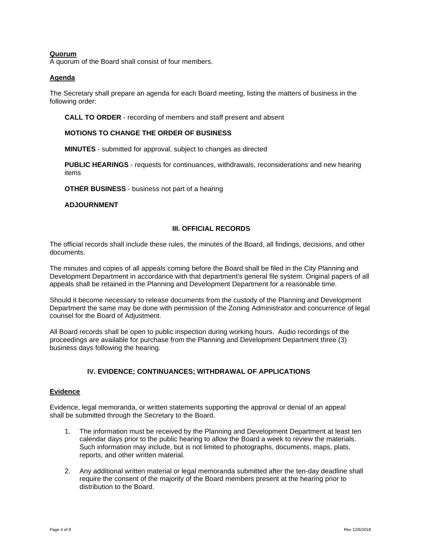#### **Quorum**

A quorum of the Board shall consist of four members.

#### **Agenda**

The Secretary shall prepare an agenda for each Board meeting, listing the matters of business in the following order:

**CALL TO ORDER** - recording of members and staff present and absent

#### **MOTIONS TO CHANGE THE ORDER OF BUSINESS**

**MINUTES** - submitted for approval, subject to changes as directed

**PUBLIC HEARINGS** - requests for continuances, withdrawals, reconsiderations and new hearing items

**OTHER BUSINESS** - business not part of a hearing

**ADJOURNMENT**

#### **III. OFFICIAL RECORDS**

The official records shall include these rules, the minutes of the Board, all findings, decisions, and other documents.

The minutes and copies of all appeals coming before the Board shall be filed in the City Planning and Development Department in accordance with that department's general file system. Original papers of all appeals shall be retained in the Planning and Development Department for a reasonable time.

Should it become necessary to release documents from the custody of the Planning and Development Department the same may be done with permission of the Zoning Administrator and concurrence of legal counsel for the Board of Adjustment.

All Board records shall be open to public inspection during working hours. Audio recordings of the proceedings are available for purchase from the Planning and Development Department three (3) business days following the hearing.

#### **IV. EVIDENCE; CONTINUANCES; WITHDRAWAL OF APPLICATIONS**

#### **Evidence**

Evidence, legal memoranda, or written statements supporting the approval or denial of an appeal shall be submitted through the Secretary to the Board.

- 1. The information must be received by the Planning and Development Department at least ten calendar days prior to the public hearing to allow the Board a week to review the materials. Such information may include, but is not limited to photographs, documents, maps, plats, reports, and other written material.
- 2. Any additional written material or legal memoranda submitted after the ten-day deadline shall require the consent of the majority of the Board members present at the hearing prior to distribution to the Board.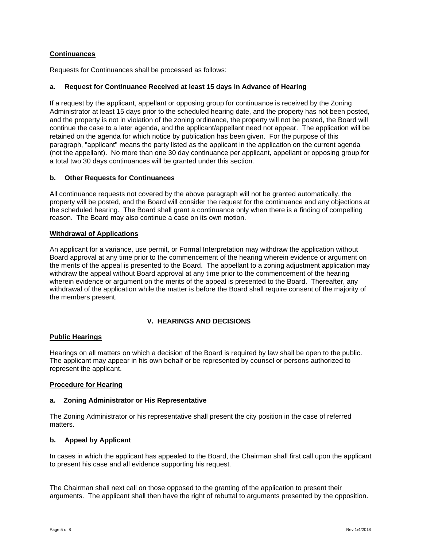#### **Continuances**

Requests for Continuances shall be processed as follows:

#### **a. Request for Continuance Received at least 15 days in Advance of Hearing**

If a request by the applicant, appellant or opposing group for continuance is received by the Zoning Administrator at least 15 days prior to the scheduled hearing date, and the property has not been posted, and the property is not in violation of the zoning ordinance, the property will not be posted, the Board will continue the case to a later agenda, and the applicant/appellant need not appear. The application will be retained on the agenda for which notice by publication has been given. For the purpose of this paragraph, "applicant" means the party listed as the applicant in the application on the current agenda (not the appellant). No more than one 30 day continuance per applicant, appellant or opposing group for a total two 30 days continuances will be granted under this section.

#### **b. Other Requests for Continuances**

All continuance requests not covered by the above paragraph will not be granted automatically, the property will be posted, and the Board will consider the request for the continuance and any objections at the scheduled hearing. The Board shall grant a continuance only when there is a finding of compelling reason. The Board may also continue a case on its own motion.

#### **Withdrawal of Applications**

An applicant for a variance, use permit, or Formal Interpretation may withdraw the application without Board approval at any time prior to the commencement of the hearing wherein evidence or argument on the merits of the appeal is presented to the Board. The appellant to a zoning adjustment application may withdraw the appeal without Board approval at any time prior to the commencement of the hearing wherein evidence or argument on the merits of the appeal is presented to the Board. Thereafter, any withdrawal of the application while the matter is before the Board shall require consent of the majority of the members present.

#### **V. HEARINGS AND DECISIONS**

#### **Public Hearings**

Hearings on all matters on which a decision of the Board is required by law shall be open to the public. The applicant may appear in his own behalf or be represented by counsel or persons authorized to represent the applicant.

#### **Procedure for Hearing**

#### **a. Zoning Administrator or His Representative**

The Zoning Administrator or his representative shall present the city position in the case of referred matters.

#### **b. Appeal by Applicant**

In cases in which the applicant has appealed to the Board, the Chairman shall first call upon the applicant to present his case and all evidence supporting his request.

The Chairman shall next call on those opposed to the granting of the application to present their arguments. The applicant shall then have the right of rebuttal to arguments presented by the opposition.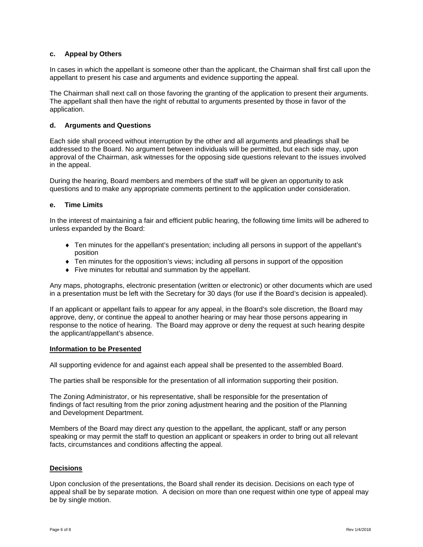#### **c. Appeal by Others**

In cases in which the appellant is someone other than the applicant, the Chairman shall first call upon the appellant to present his case and arguments and evidence supporting the appeal.

The Chairman shall next call on those favoring the granting of the application to present their arguments. The appellant shall then have the right of rebuttal to arguments presented by those in favor of the application.

#### **d. Arguments and Questions**

Each side shall proceed without interruption by the other and all arguments and pleadings shall be addressed to the Board. No argument between individuals will be permitted, but each side may, upon approval of the Chairman, ask witnesses for the opposing side questions relevant to the issues involved in the appeal.

During the hearing, Board members and members of the staff will be given an opportunity to ask questions and to make any appropriate comments pertinent to the application under consideration.

#### **e. Time Limits**

In the interest of maintaining a fair and efficient public hearing, the following time limits will be adhered to unless expanded by the Board:

- ♦ Ten minutes for the appellant's presentation; including all persons in support of the appellant's position
- ♦ Ten minutes for the opposition's views; including all persons in support of the opposition
- ♦ Five minutes for rebuttal and summation by the appellant.

Any maps, photographs, electronic presentation (written or electronic) or other documents which are used in a presentation must be left with the Secretary for 30 days (for use if the Board's decision is appealed).

If an applicant or appellant fails to appear for any appeal, in the Board's sole discretion, the Board may approve, deny, or continue the appeal to another hearing or may hear those persons appearing in response to the notice of hearing. The Board may approve or deny the request at such hearing despite the applicant/appellant's absence.

#### **Information to be Presented**

All supporting evidence for and against each appeal shall be presented to the assembled Board.

The parties shall be responsible for the presentation of all information supporting their position.

The Zoning Administrator, or his representative, shall be responsible for the presentation of findings of fact resulting from the prior zoning adjustment hearing and the position of the Planning and Development Department.

Members of the Board may direct any question to the appellant, the applicant, staff or any person speaking or may permit the staff to question an applicant or speakers in order to bring out all relevant facts, circumstances and conditions affecting the appeal.

#### **Decisions**

Upon conclusion of the presentations, the Board shall render its decision. Decisions on each type of appeal shall be by separate motion. A decision on more than one request within one type of appeal may be by single motion.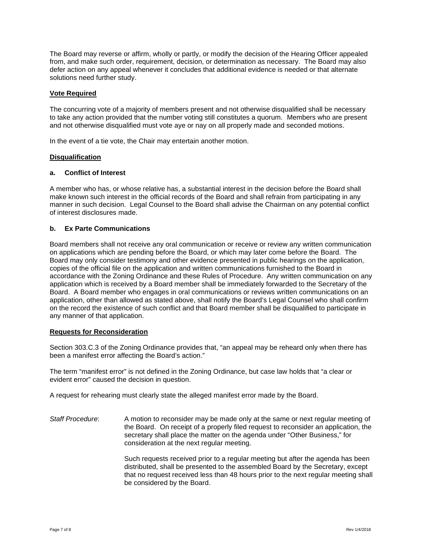The Board may reverse or affirm, wholly or partly, or modify the decision of the Hearing Officer appealed from, and make such order, requirement, decision, or determination as necessary. The Board may also defer action on any appeal whenever it concludes that additional evidence is needed or that alternate solutions need further study.

#### **Vote Required**

The concurring vote of a majority of members present and not otherwise disqualified shall be necessary to take any action provided that the number voting still constitutes a quorum. Members who are present and not otherwise disqualified must vote aye or nay on all properly made and seconded motions.

In the event of a tie vote, the Chair may entertain another motion.

#### **Disqualification**

#### **a. Conflict of Interest**

A member who has, or whose relative has, a substantial interest in the decision before the Board shall make known such interest in the official records of the Board and shall refrain from participating in any manner in such decision. Legal Counsel to the Board shall advise the Chairman on any potential conflict of interest disclosures made.

#### **b. Ex Parte Communications**

Board members shall not receive any oral communication or receive or review any written communication on applications which are pending before the Board, or which may later come before the Board. The Board may only consider testimony and other evidence presented in public hearings on the application, copies of the official file on the application and written communications furnished to the Board in accordance with the Zoning Ordinance and these Rules of Procedure. Any written communication on any application which is received by a Board member shall be immediately forwarded to the Secretary of the Board. A Board member who engages in oral communications or reviews written communications on an application, other than allowed as stated above, shall notify the Board's Legal Counsel who shall confirm on the record the existence of such conflict and that Board member shall be disqualified to participate in any manner of that application.

#### **Requests for Reconsideration**

Section 303.C.3 of the Zoning Ordinance provides that, "an appeal may be reheard only when there has been a manifest error affecting the Board's action."

The term "manifest error" is not defined in the Zoning Ordinance, but case law holds that "a clear or evident error" caused the decision in question.

A request for rehearing must clearly state the alleged manifest error made by the Board.

*Staff Procedure*: A motion to reconsider may be made only at the same or next regular meeting of the Board. On receipt of a properly filed request to reconsider an application, the secretary shall place the matter on the agenda under "Other Business," for consideration at the next regular meeting.

> Such requests received prior to a regular meeting but after the agenda has been distributed, shall be presented to the assembled Board by the Secretary, except that no request received less than 48 hours prior to the next regular meeting shall be considered by the Board.